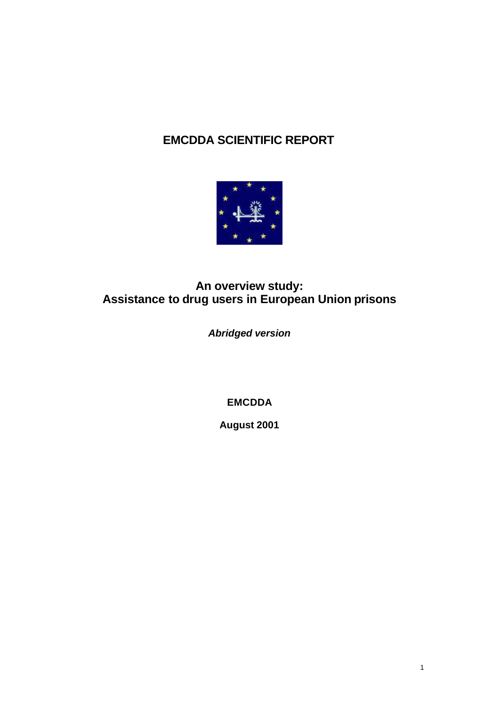# **EMCDDA SCIENTIFIC REPORT**



# **An overview study: Assistance to drug users in European Union prisons**

*Abridged version*

**EMCDDA**

**August 2001**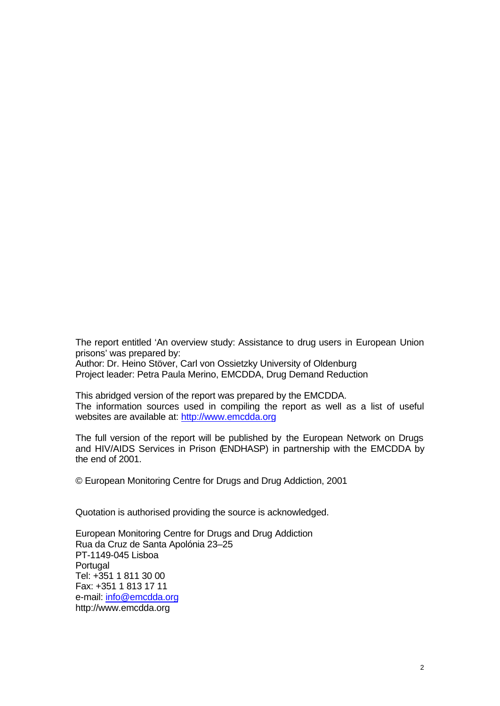The report entitled 'An overview study: Assistance to drug users in European Union prisons' was prepared by:

Author: Dr. Heino Stöver, Carl von Ossietzky University of Oldenburg Project leader: Petra Paula Merino, EMCDDA, Drug Demand Reduction

This abridged version of the report was prepared by the EMCDDA. The information sources used in compiling the report as well as a list of useful websites are available at: http://www.emcdda.org

The full version of the report will be published by the European Network on Drugs and HIV/AIDS Services in Prison (ENDHASP) in partnership with the EMCDDA by the end of 2001.

© European Monitoring Centre for Drugs and Drug Addiction, 2001

Quotation is authorised providing the source is acknowledged.

European Monitoring Centre for Drugs and Drug Addiction Rua da Cruz de Santa Apolónia 23–25 PT-1149-045 Lisboa **Portugal** Tel: +351 1 811 30 00 Fax: +351 1 813 17 11 e-mail: info@emcdda.org http://www.emcdda.org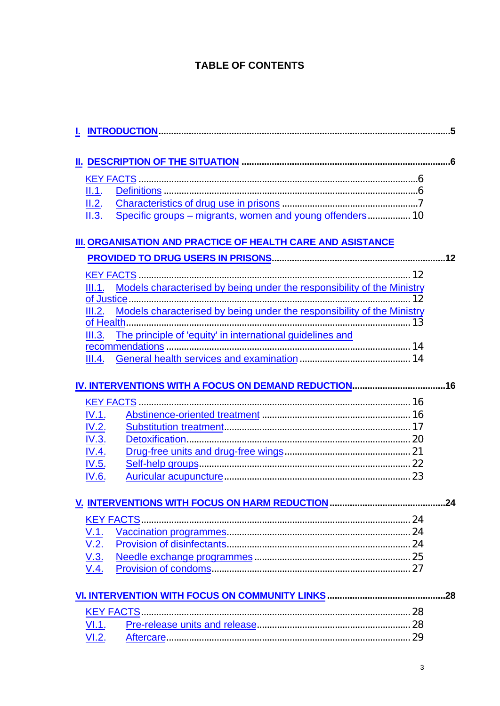# **TABLE OF CONTENTS**

| II.1.        |                                                                        |  |
|--------------|------------------------------------------------------------------------|--|
| II.2.        |                                                                        |  |
| II.3.        | Specific groups - migrants, women and young offenders 10               |  |
|              | III. ORGANISATION AND PRACTICE OF HEALTH CARE AND ASISTANCE            |  |
|              |                                                                        |  |
|              |                                                                        |  |
|              |                                                                        |  |
|              |                                                                        |  |
| III.2.       | Models characterised by being under the responsibility of the Ministry |  |
|              |                                                                        |  |
| III.3.       | The principle of 'equity' in international guidelines and              |  |
|              |                                                                        |  |
| III.4.       |                                                                        |  |
|              |                                                                        |  |
|              |                                                                        |  |
|              |                                                                        |  |
| IV.1.        |                                                                        |  |
| IV.2.        |                                                                        |  |
| IV.3.        |                                                                        |  |
| IV.4.        |                                                                        |  |
| <u>IV.5.</u> |                                                                        |  |
| IV.6.        |                                                                        |  |
|              |                                                                        |  |
|              |                                                                        |  |
|              | <b>KEY FACTS</b>                                                       |  |
| V.1.         |                                                                        |  |
| <u>V.2.</u>  |                                                                        |  |
| <u>V.3.</u>  |                                                                        |  |
| V.4.         |                                                                        |  |
|              |                                                                        |  |
|              | <b>KEY FACTS.</b>                                                      |  |
| VI.1.        |                                                                        |  |
| V1.2.        |                                                                        |  |
|              |                                                                        |  |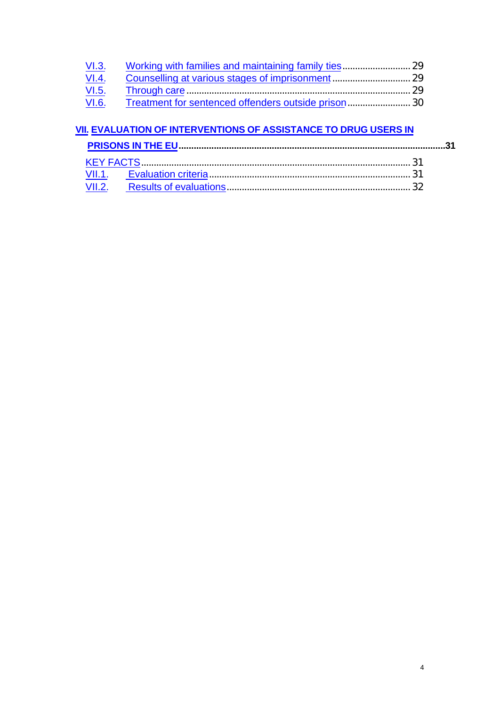| <u>VI.3.</u> |  |
|--------------|--|
| <u>VI.4.</u> |  |
| <u>VI.5.</u> |  |
| VI.6.        |  |

# **VII. EVALUATION OF INTERVENTIONS OF ASSISTANCE TO DRUG USERS IN**

**PRISONS IN THE EU..........................................................................................................31**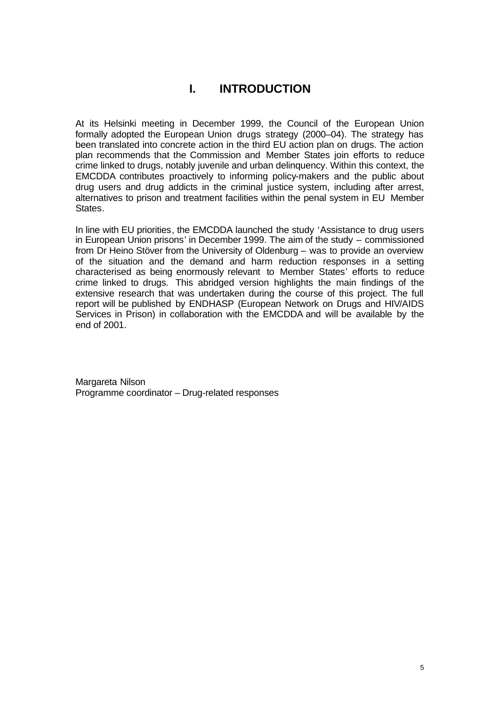# **I. INTRODUCTION**

At its Helsinki meeting in December 1999, the Council of the European Union formally adopted the European Union drugs strategy (2000–04). The strategy has been translated into concrete action in the third EU action plan on drugs. The action plan recommends that the Commission and Member States join efforts to reduce crime linked to drugs, notably juvenile and urban delinquency. Within this context, the EMCDDA contributes proactively to informing policy-makers and the public about drug users and drug addicts in the criminal justice system, including after arrest, alternatives to prison and treatment facilities within the penal system in EU Member States.

In line with EU priorities, the EMCDDA launched the study 'Assistance to drug users in European Union prisons' in December 1999. The aim of the study – commissioned from Dr Heino Stöver from the University of Oldenburg – was to provide an overview of the situation and the demand and harm reduction responses in a setting characterised as being enormously relevant to Member States' efforts to reduce crime linked to drugs. This abridged version highlights the main findings of the extensive research that was undertaken during the course of this project. The full report will be published by ENDHASP (European Network on Drugs and HIV/AIDS Services in Prison) in collaboration with the EMCDDA and will be available by the end of 2001.

Margareta Nilson Programme coordinator – Drug-related responses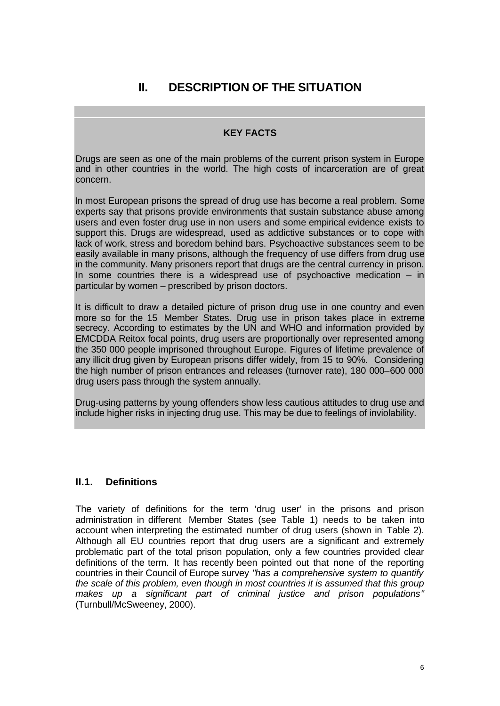# **II. DESCRIPTION OF THE SITUATION**

#### **KEY FACTS**

Drugs are seen as one of the main problems of the current prison system in Europe and in other countries in the world. The high costs of incarceration are of great concern.

In most European prisons the spread of drug use has become a real problem. Some experts say that prisons provide environments that sustain substance abuse among users and even foster drug use in non users and some empirical evidence exists to support this. Drugs are widespread, used as addictive substances or to cope with lack of work, stress and boredom behind bars. Psychoactive substances seem to be easily available in many prisons, although the frequency of use differs from drug use in the community. Many prisoners report that drugs are the central currency in prison. In some countries there is a widespread use of psychoactive medication  $-$  in particular by women – prescribed by prison doctors.

It is difficult to draw a detailed picture of prison drug use in one country and even more so for the 15 Member States. Drug use in prison takes place in extreme secrecy. According to estimates by the UN and WHO and information provided by EMCDDA Reitox focal points, drug users are proportionally over represented among the 350 000 people imprisoned throughout Europe. Figures of lifetime prevalence of any illicit drug given by European prisons differ widely, from 15 to 90%. Considering the high number of prison entrances and releases (turnover rate), 180 000–600 000 drug users pass through the system annually.

Drug-using patterns by young offenders show less cautious attitudes to drug use and include higher risks in injecting drug use. This may be due to feelings of inviolability.

#### **II.1. Definitions**

The variety of definitions for the term 'drug user' in the prisons and prison administration in different Member States (see Table 1) needs to be taken into account when interpreting the estimated number of drug users (shown in Table 2). Although all EU countries report that drug users are a significant and extremely problematic part of the total prison population, only a few countries provided clear definitions of the term. It has recently been pointed out that none of the reporting countries in their Council of Europe survey *"has a comprehensive system to quantify the scale of this problem, even though in most countries it is assumed that this group makes up a significant part of criminal justice and prison populations"* (Turnbull/McSweeney, 2000).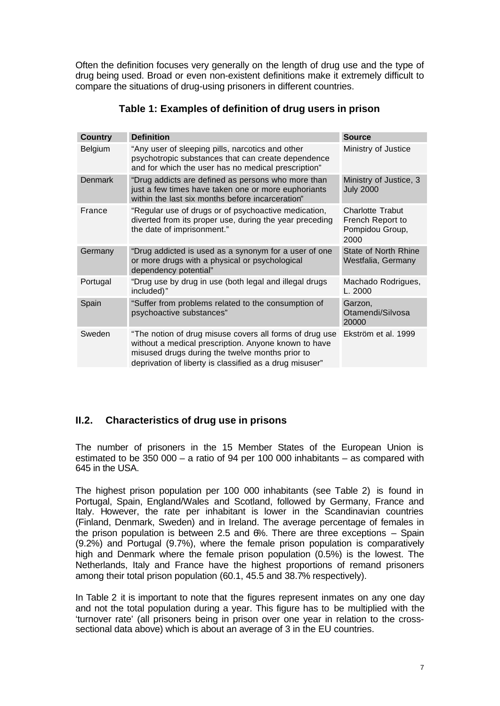Often the definition focuses very generally on the length of drug use and the type of drug being used. Broad or even non-existent definitions make it extremely difficult to compare the situations of drug-using prisoners in different countries.

| <b>Country</b> | <b>Definition</b>                                                                                                                                                                                                             | <b>Source</b>                                                          |
|----------------|-------------------------------------------------------------------------------------------------------------------------------------------------------------------------------------------------------------------------------|------------------------------------------------------------------------|
| Belgium        | "Any user of sleeping pills, narcotics and other<br>psychotropic substances that can create dependence<br>and for which the user has no medical prescription"                                                                 | Ministry of Justice                                                    |
| <b>Denmark</b> | "Drug addicts are defined as persons who more than<br>just a few times have taken one or more euphoriants<br>within the last six months before incarceration"                                                                 | Ministry of Justice, 3<br><b>July 2000</b>                             |
| France         | "Regular use of drugs or of psychoactive medication,<br>diverted from its proper use, during the year preceding<br>the date of imprisonment."                                                                                 | <b>Charlotte Trabut</b><br>French Report to<br>Pompidou Group,<br>2000 |
| Germany        | "Drug addicted is used as a synonym for a user of one<br>or more drugs with a physical or psychological<br>dependency potential"                                                                                              | State of North Rhine<br>Westfalia, Germany                             |
| Portugal       | "Drug use by drug in use (both legal and illegal drugs<br>included)"                                                                                                                                                          | Machado Rodrigues,<br>L. 2000                                          |
| Spain          | "Suffer from problems related to the consumption of<br>psychoactive substances"                                                                                                                                               | Garzon,<br>Otamendi/Silvosa<br>20000                                   |
| Sweden         | "The notion of drug misuse covers all forms of drug use<br>without a medical prescription. Anyone known to have<br>misused drugs during the twelve months prior to<br>deprivation of liberty is classified as a drug misuser" | Ekström et al. 1999                                                    |

**Table 1: Examples of definition of drug users in prison**

# **II.2. Characteristics of drug use in prisons**

The number of prisoners in the 15 Member States of the European Union is estimated to be 350 000 – a ratio of 94 per 100 000 inhabitants – as compared with 645 in the USA.

The highest prison population per 100 000 inhabitants (see Table 2) is found in Portugal, Spain, England/Wales and Scotland, followed by Germany, France and Italy. However, the rate per inhabitant is lower in the Scandinavian countries (Finland, Denmark, Sweden) and in Ireland. The average percentage of females in the prison population is between 2.5 and 6%. There are three exceptions – Spain (9.2%) and Portugal (9.7%), where the female prison population is comparatively high and Denmark where the female prison population (0.5%) is the lowest. The Netherlands, Italy and France have the highest proportions of remand prisoners among their total prison population (60.1, 45.5 and 38.7% respectively).

In Table 2 it is important to note that the figures represent inmates on any one day and not the total population during a year. This figure has to be multiplied with the 'turnover rate' (all prisoners being in prison over one year in relation to the crosssectional data above) which is about an average of 3 in the EU countries.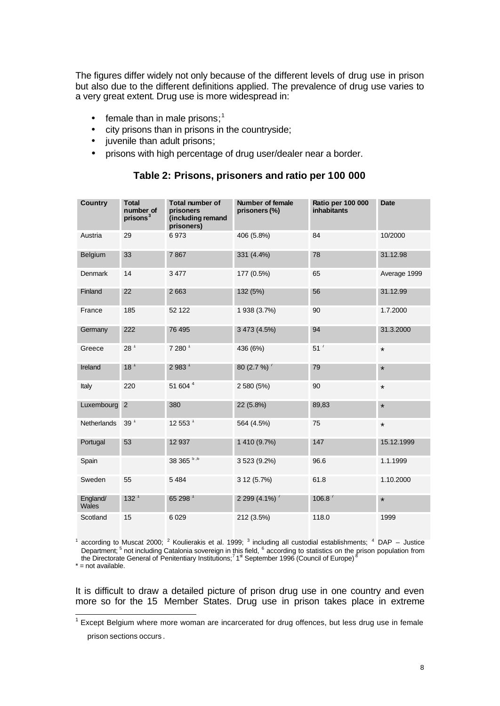The figures differ widely not only because of the different levels of drug use in prison but also due to the different definitions applied. The prevalence of drug use varies to a very great extent. Drug use is more widespread in:

- $\bullet$  female than in male prisons;<sup>1</sup>
- city prisons than in prisons in the countryside;
- juvenile than adult prisons;
- prisons with high percentage of drug user/dealer near a border.

| <b>Country</b>    | <b>Total</b><br>number of<br>prisons <sup>3</sup> | <b>Total number of</b><br>prisoners<br>(including remand<br>prisoners) | Number of female<br>prisoners (%) | <b>Ratio per 100 000</b><br><b>inhabitants</b> | <b>Date</b>  |
|-------------------|---------------------------------------------------|------------------------------------------------------------------------|-----------------------------------|------------------------------------------------|--------------|
| Austria           | 29                                                | 6973                                                                   | 406 (5.8%)                        | 84                                             | 10/2000      |
| Belgium           | 33                                                | 7867                                                                   | 331 (4.4%)                        | 78                                             | 31.12.98     |
| Denmark           | 14                                                | 3 4 7 7                                                                | 177 (0.5%)                        | 65                                             | Average 1999 |
| Finland           | 22                                                | 2663                                                                   | 132 (5%)                          | 56                                             | 31.12.99     |
| France            | 185                                               | 52 122                                                                 | 1 938 (3.7%)                      | 90                                             | 1.7.2000     |
| Germany           | 222                                               | 76 495                                                                 | 3 473 (4.5%)                      | 94                                             | 31.3.2000    |
| Greece            | 28 <sup>1</sup>                                   | 7280 <sup>1</sup>                                                      | 436 (6%)                          | 51 <sup>′</sup>                                | $\star$      |
| Ireland           | 18 <sup>1</sup>                                   | 2983 <sup>1</sup>                                                      | 80 $(2.7\%)$                      | 79                                             | $\star$      |
| Italy             | 220                                               | 51 604 <sup>4</sup>                                                    | 2 580 (5%)                        | 90                                             | $\star$      |
| Luxembourg        | 2                                                 | 380                                                                    | 22 (5.8%)                         | 89,83                                          | $\star$      |
| Netherlands       | 39 <sup>1</sup>                                   | 12553 <sup>1</sup>                                                     | 564 (4.5%)                        | 75                                             | $\star$      |
| Portugal          | 53                                                | 12 937                                                                 | 1 410 (9.7%)                      | 147                                            | 15.12.1999   |
| Spain             |                                                   | 38 365 <sup>5,6</sup>                                                  | 3 523 (9.2%)                      | 96.6                                           | 1.1.1999     |
| Sweden            | 55                                                | 5 4 8 4                                                                | 3 12 (5.7%)                       | 61.8                                           | 1.10.2000    |
| England/<br>Wales | 132 <sup>1</sup>                                  | 65 298 1                                                               | 2 299 $(4.1\%)$                   | 106.8 $'$                                      | $\star$      |
| Scotland          | 15                                                | 6 0 29                                                                 | 212 (3.5%)                        | 118.0                                          | 1999         |

#### **Table 2: Prisons, prisoners and ratio per 100 000**

1 according to Muscat 2000; <sup>2</sup> Koulierakis et al. 1999; <sup>3</sup> including all custodial establishments; <sup>4</sup> DAP – Justice Department; <sup>5</sup> not including Catalonia sovereign in this field, <sup>6</sup> according to statistics on the prison population from<br>the Directorate General of Penitentiary Institutions;<sup>7</sup> 1<sup>st</sup> September 1996 (Council of Europe) <sup></sup>

 $* = not available.$ 

It is difficult to draw a detailed picture of prison drug use in one country and even more so for the 15 Member States. Drug use in prison takes place in extreme

<sup>&</sup>lt;u>-</u><br><sup>1</sup> Except Belgium where more woman are incarcerated for drug offences, but less drug use in female prison sections occurs .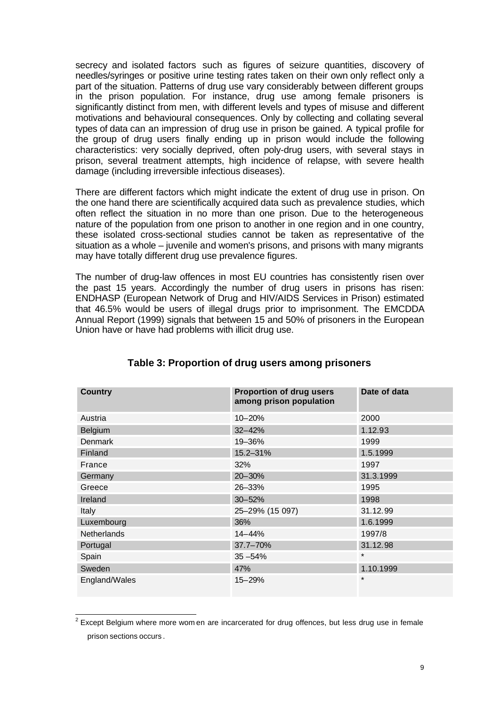secrecy and isolated factors such as figures of seizure quantities, discovery of needles/syringes or positive urine testing rates taken on their own only reflect only a part of the situation. Patterns of drug use vary considerably between different groups in the prison population. For instance, drug use among female prisoners is significantly distinct from men, with different levels and types of misuse and different motivations and behavioural consequences. Only by collecting and collating several types of data can an impression of drug use in prison be gained. A typical profile for the group of drug users finally ending up in prison would include the following characteristics: very socially deprived, often poly-drug users, with several stays in prison, several treatment attempts, high incidence of relapse, with severe health damage (including irreversible infectious diseases).

There are different factors which might indicate the extent of drug use in prison. On the one hand there are scientifically acquired data such as prevalence studies, which often reflect the situation in no more than one prison. Due to the heterogeneous nature of the population from one prison to another in one region and in one country, these isolated cross-sectional studies cannot be taken as representative of the situation as a whole – juvenile and women's prisons, and prisons with many migrants may have totally different drug use prevalence figures.

The number of drug-law offences in most EU countries has consistently risen over the past 15 years. Accordingly the number of drug users in prisons has risen: ENDHASP (European Network of Drug and HIV/AIDS Services in Prison) estimated that 46.5% would be users of illegal drugs prior to imprisonment. The EMCDDA Annual Report (1999) signals that between 15 and 50% of prisoners in the European Union have or have had problems with illicit drug use.

| <b>Country</b>     | <b>Proportion of drug users</b><br>among prison population | Date of data |
|--------------------|------------------------------------------------------------|--------------|
| Austria            | 10-20%                                                     | 2000         |
| Belgium            | $32 - 42%$                                                 | 1.12.93      |
| Denmark            | 19-36%                                                     | 1999         |
| Finland            | 15.2-31%                                                   | 1.5.1999     |
| France             | 32%                                                        | 1997         |
| Germany            | 20-30%                                                     | 31.3.1999    |
| Greece             | 26-33%                                                     | 1995         |
| Ireland            | $30 - 52%$                                                 | 1998         |
| Italy              | 25-29% (15 097)                                            | 31.12.99     |
| Luxembourg         | 36%                                                        | 1.6.1999     |
| <b>Netherlands</b> | $14 - 44%$                                                 | 1997/8       |
| Portugal           | $37.7 - 70%$                                               | 31.12.98     |
| Spain              | $35 - 54%$                                                 | $\star$      |
| Sweden             | 47%                                                        | 1.10.1999    |
| England/Wales      | 15-29%                                                     | $\star$      |

## **Table 3: Proportion of drug users among prisoners**

<sup>&</sup>lt;u>2</u><br><sup>2</sup> Except Belgium where more wom en are incarcerated for drug offences, but less drug use in female prison sections occurs .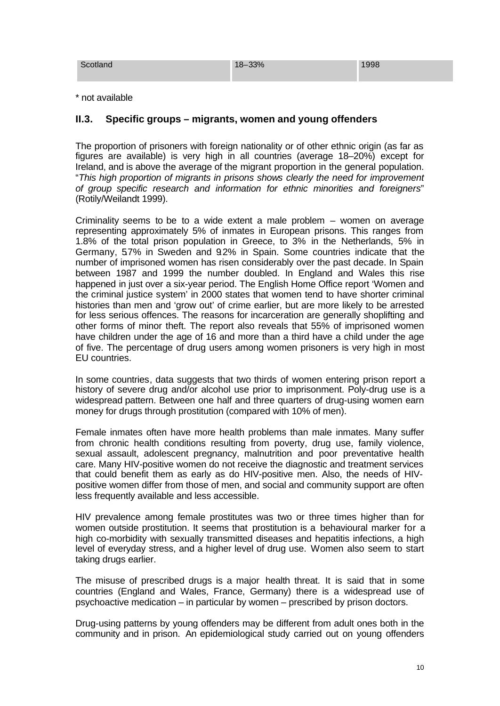| Scotland | 18-33% | 1998 |
|----------|--------|------|
|          |        |      |

\* not available

#### **II.3. Specific groups – migrants, women and young offenders**

The proportion of prisoners with foreign nationality or of other ethnic origin (as far as figures are available) is very high in all countries (average 18–20%) except for Ireland, and is above the average of the migrant proportion in the general population. "*This high proportion of migrants in prisons shows clearly the need for improvement of group specific research and information for ethnic minorities and foreigners*" (Rotily/Weilandt 1999).

Criminality seems to be to a wide extent a male problem – women on average representing approximately 5% of inmates in European prisons. This ranges from 1.8% of the total prison population in Greece, to 3% in the Netherlands, 5% in Germany, 5.7% in Sweden and 9.2% in Spain. Some countries indicate that the number of imprisoned women has risen considerably over the past decade. In Spain between 1987 and 1999 the number doubled. In England and Wales this rise happened in just over a six-year period. The English Home Office report 'Women and the criminal justice system' in 2000 states that women tend to have shorter criminal histories than men and 'grow out' of crime earlier, but are more likely to be arrested for less serious offences. The reasons for incarceration are generally shoplifting and other forms of minor theft. The report also reveals that 55% of imprisoned women have children under the age of 16 and more than a third have a child under the age of five. The percentage of drug users among women prisoners is very high in most EU countries.

In some countries, data suggests that two thirds of women entering prison report a history of severe drug and/or alcohol use prior to imprisonment. Poly-drug use is a widespread pattern. Between one half and three quarters of drug-using women earn money for drugs through prostitution (compared with 10% of men).

Female inmates often have more health problems than male inmates. Many suffer from chronic health conditions resulting from poverty, drug use, family violence, sexual assault, adolescent pregnancy, malnutrition and poor preventative health care. Many HIV-positive women do not receive the diagnostic and treatment services that could benefit them as early as do HIV-positive men. Also, the needs of HIVpositive women differ from those of men, and social and community support are often less frequently available and less accessible.

HIV prevalence among female prostitutes was two or three times higher than for women outside prostitution. It seems that prostitution is a behavioural marker for a high co-morbidity with sexually transmitted diseases and hepatitis infections, a high level of everyday stress, and a higher level of drug use. Women also seem to start taking drugs earlier.

The misuse of prescribed drugs is a major health threat. It is said that in some countries (England and Wales, France, Germany) there is a widespread use of psychoactive medication – in particular by women – prescribed by prison doctors.

Drug-using patterns by young offenders may be different from adult ones both in the community and in prison. An epidemiological study carried out on young offenders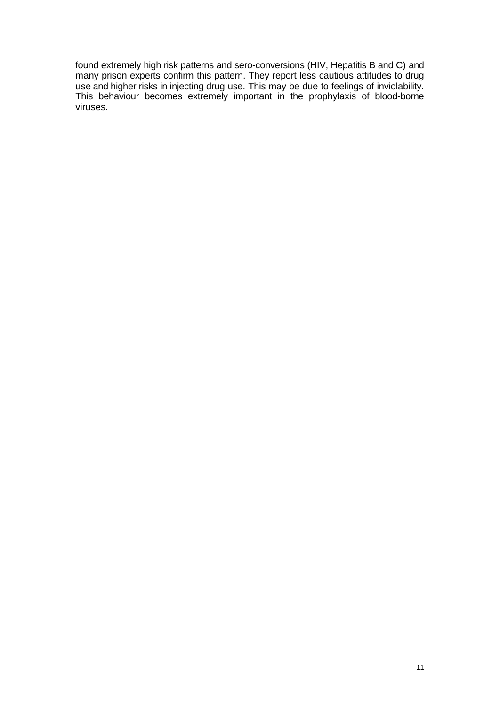found extremely high risk patterns and sero-conversions (HIV, Hepatitis B and C) and many prison experts confirm this pattern. They report less cautious attitudes to drug use and higher risks in injecting drug use. This may be due to feelings of inviolability. This behaviour becomes extremely important in the prophylaxis of blood-borne viruses.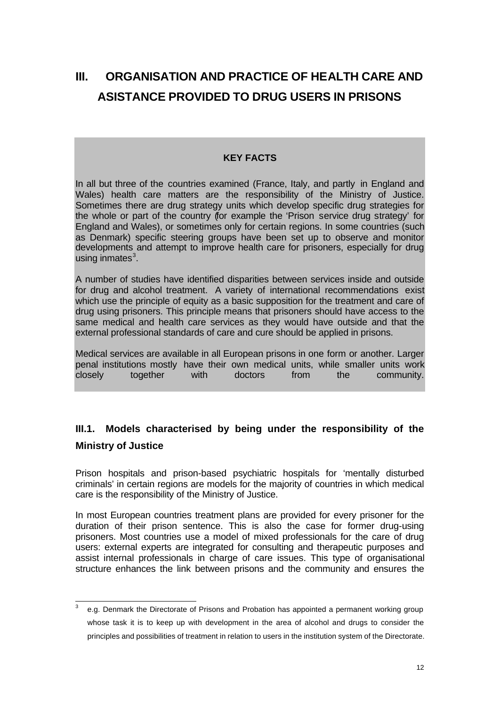# **III. ORGANISATION AND PRACTICE OF HEALTH CARE AND ASISTANCE PROVIDED TO DRUG USERS IN PRISONS**

#### **KEY FACTS**

In all but three of the countries examined (France, Italy, and partly in England and Wales) health care matters are the responsibility of the Ministry of Justice. Sometimes there are drug strategy units which develop specific drug strategies for the whole or part of the country (for example the 'Prison service drug strategy' for England and Wales), or sometimes only for certain regions. In some countries (such as Denmark) specific steering groups have been set up to observe and monitor developments and attempt to improve health care for prisoners, especially for drug using inmates $^3$ .

A number of studies have identified disparities between services inside and outside for drug and alcohol treatment. A variety of international recommendations exist which use the principle of equity as a basic supposition for the treatment and care of drug using prisoners. This principle means that prisoners should have access to the same medical and health care services as they would have outside and that the external professional standards of care and cure should be applied in prisons.

Medical services are available in all European prisons in one form or another. Larger penal institutions mostly have their own medical units, while smaller units work closely together with doctors from the community.

# **III.1. Models characterised by being under the responsibility of the Ministry of Justice**

Prison hospitals and prison-based psychiatric hospitals for 'mentally disturbed criminals' in certain regions are models for the majority of countries in which medical care is the responsibility of the Ministry of Justice.

In most European countries treatment plans are provided for every prisoner for the duration of their prison sentence. This is also the case for former drug-using prisoners. Most countries use a model of mixed professionals for the care of drug users: external experts are integrated for consulting and therapeutic purposes and assist internal professionals in charge of care issues. This type of organisational structure enhances the link between prisons and the community and ensures the

 $\frac{1}{3}$ e.g. Denmark the Directorate of Prisons and Probation has appointed a permanent working group whose task it is to keep up with development in the area of alcohol and drugs to consider the principles and possibilities of treatment in relation to users in the institution system of the Directorate.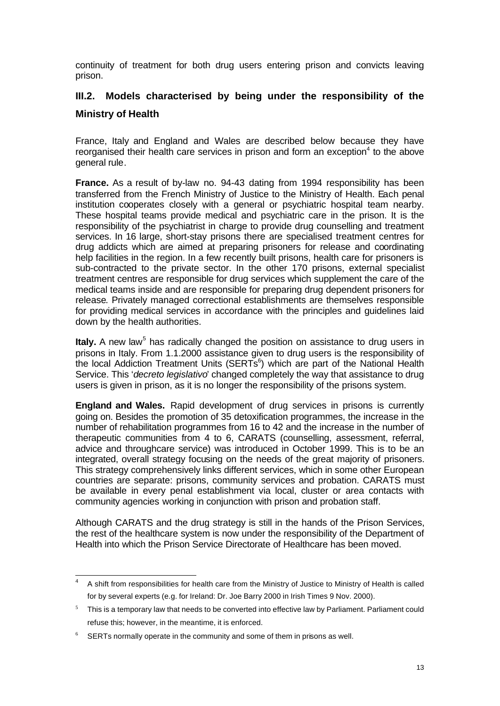continuity of treatment for both drug users entering prison and convicts leaving prison.

# **III.2. Models characterised by being under the responsibility of the Ministry of Health**

France, Italy and England and Wales are described below because they have reorganised their health care services in prison and form an exception<sup>4</sup> to the above general rule.

**France.** As a result of by-law no. 94-43 dating from 1994 responsibility has been transferred from the French Ministry of Justice to the Ministry of Health. Each penal institution cooperates closely with a general or psychiatric hospital team nearby. These hospital teams provide medical and psychiatric care in the prison. It is the responsibility of the psychiatrist in charge to provide drug counselling and treatment services. In 16 large, short-stay prisons there are specialised treatment centres for drug addicts which are aimed at preparing prisoners for release and coordinating help facilities in the region. In a few recently built prisons, health care for prisoners is sub-contracted to the private sector. In the other 170 prisons, external specialist treatment centres are responsible for drug services which supplement the care of the medical teams inside and are responsible for preparing drug dependent prisoners for release. Privately managed correctional establishments are themselves responsible for providing medical services in accordance with the principles and guidelines laid down by the health authorities.

Italy. A new law<sup>5</sup> has radically changed the position on assistance to drug users in prisons in Italy. From 1.1.2000 assistance given to drug users is the responsibility of the local Addiction Treatment Units (SERTs $^6$ ) which are part of the National Health Service. This '*decreto legislativo*' changed completely the way that assistance to drug users is given in prison, as it is no longer the responsibility of the prisons system.

**England and Wales.** Rapid development of drug services in prisons is currently going on. Besides the promotion of 35 detoxification programmes, the increase in the number of rehabilitation programmes from 16 to 42 and the increase in the number of therapeutic communities from 4 to 6, CARATS (counselling, assessment, referral, advice and throughcare service) was introduced in October 1999. This is to be an integrated, overall strategy focusing on the needs of the great majority of prisoners. This strategy comprehensively links different services, which in some other European countries are separate: prisons, community services and probation. CARATS must be available in every penal establishment via local, cluster or area contacts with community agencies working in conjunction with prison and probation staff.

Although CARATS and the drug strategy is still in the hands of the Prison Services, the rest of the healthcare system is now under the responsibility of the Department of Health into which the Prison Service Directorate of Healthcare has been moved.

 $\overline{4}$ <sup>4</sup> A shift from responsibilities for health care from the Ministry of Justice to Ministry of Health is called for by several experts (e.g. for Ireland: Dr. Joe Barry 2000 in Irish Times 9 Nov. 2000).

 $5$  This is a temporary law that needs to be converted into effective law by Parliament. Parliament could refuse this; however, in the meantime, it is enforced.

 $6$  SERTs normally operate in the community and some of them in prisons as well.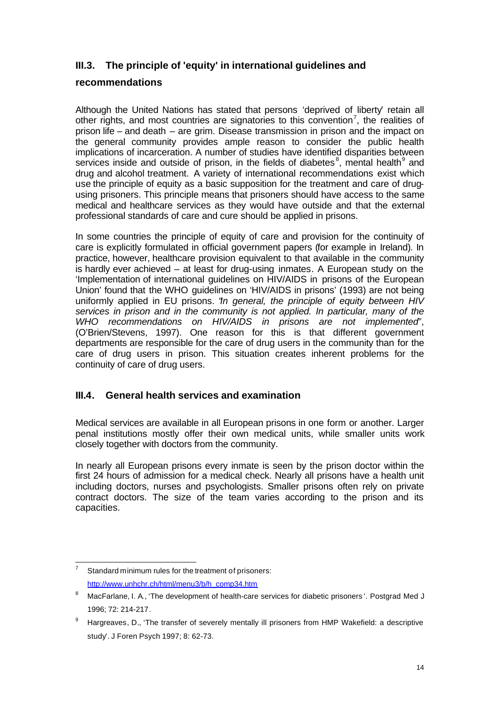# **III.3. The principle of 'equity' in international guidelines and**

#### **recommendations**

Although the United Nations has stated that persons 'deprived of liberty' retain all other rights, and most countries are signatories to this convention<sup>7</sup>, the realities of prison life – and death – are grim. Disease transmission in prison and the impact on the general community provides ample reason to consider the public health implications of incarceration. A number of studies have identified disparities between services inside and outside of prison, in the fields of diabetes<sup>8</sup>, mental health<sup>9</sup> and drug and alcohol treatment. A variety of international recommendations exist which use the principle of equity as a basic supposition for the treatment and care of drugusing prisoners. This principle means that prisoners should have access to the same medical and healthcare services as they would have outside and that the external professional standards of care and cure should be applied in prisons.

In some countries the principle of equity of care and provision for the continuity of care is explicitly formulated in official government papers (for example in Ireland). In practice, however, healthcare provision equivalent to that available in the community is hardly ever achieved – at least for drug-using inmates. A European study on the 'Implementation of international guidelines on HIV/AIDS in prisons of the European Union' found that the WHO guidelines on 'HIV/AIDS in prisons' (1993) are not being uniformly applied in EU prisons. "*In general, the principle of equity between HIV services in prison and in the community is not applied. In particular, many of the WHO recommendations on HIV/AIDS in prisons are not implemented*", (O'Brien/Stevens, 1997). One reason for this is that different government departments are responsible for the care of drug users in the community than for the care of drug users in prison. This situation creates inherent problems for the continuity of care of drug users.

## **III.4. General health services and examination**

Medical services are available in all European prisons in one form or another. Larger penal institutions mostly offer their own medical units, while smaller units work closely together with doctors from the community.

In nearly all European prisons every inmate is seen by the prison doctor within the first 24 hours of admission for a medical check. Nearly all prisons have a health unit including doctors, nurses and psychologists. Smaller prisons often rely on private contract doctors. The size of the team varies according to the prison and its capacities.

 $\overline{7}$ Standard minimum rules for the treatment of prisoners: http://www.unhchr.ch/html/menu3/b/h\_comp34.htm

<sup>8</sup> MacFarlane, I. A., 'The development of health-care services for diabetic prisoners'. Postgrad Med J 1996; 72: 214-217.

<sup>&</sup>lt;sup>9</sup> Hargreaves, D., 'The transfer of severely mentally ill prisoners from HMP Wakefield: a descriptive study'. J Foren Psych 1997; 8: 62-73.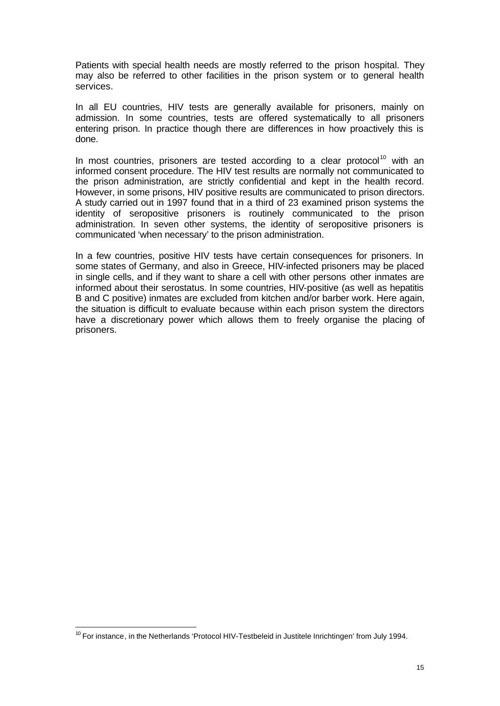Patients with special health needs are mostly referred to the prison hospital. They may also be referred to other facilities in the prison system or to general health services.

In all EU countries, HIV tests are generally available for prisoners, mainly on admission. In some countries, tests are offered systematically to all prisoners entering prison. In practice though there are differences in how proactively this is done.

In most countries, prisoners are tested according to a clear protocol<sup>10</sup> with an informed consent procedure. The HIV test results are normally not communicated to the prison administration, are strictly confidential and kept in the health record. However, in some prisons, HIV positive results are communicated to prison directors. A study carried out in 1997 found that in a third of 23 examined prison systems the identity of seropositive prisoners is routinely communicated to the prison administration. In seven other systems, the identity of seropositive prisoners is communicated 'when necessary' to the prison administration.

In a few countries, positive HIV tests have certain consequences for prisoners. In some states of Germany, and also in Greece, HIV-infected prisoners may be placed in single cells, and if they want to share a cell with other persons other inmates are informed about their serostatus. In some countries, HIV-positive (as well as hepatitis B and C positive) inmates are excluded from kitchen and/or barber work. Here again, the situation is difficult to evaluate because within each prison system the directors have a discretionary power which allows them to freely organise the placing of prisoners.

l <sup>10</sup> For instance, in the Netherlands 'Protocol HIV-Testbeleid in Justitele Inrichtingen' from July 1994.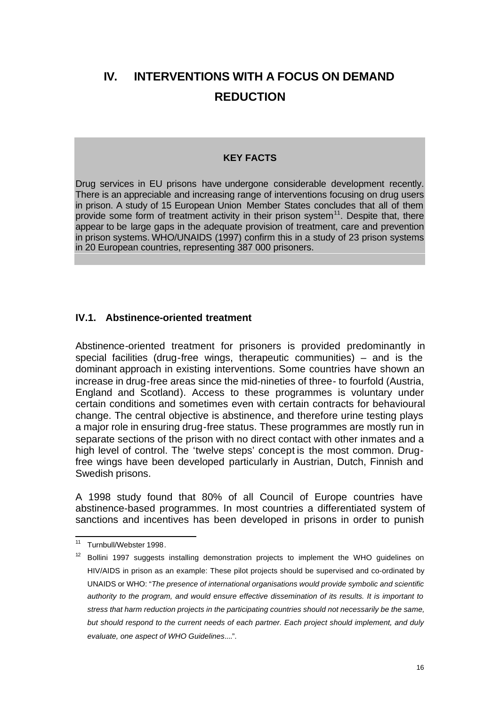# **IV. INTERVENTIONS WITH A FOCUS ON DEMAND REDUCTION**

#### **KEY FACTS**

Drug services in EU prisons have undergone considerable development recently. There is an appreciable and increasing range of interventions focusing on drug users in prison. A study of 15 European Union Member States concludes that all of them provide some form of treatment activity in their prison system $<sup>11</sup>$ . Despite that, there</sup> appear to be large gaps in the adequate provision of treatment, care and prevention in prison systems. WHO/UNAIDS (1997) confirm this in a study of 23 prison systems in 20 European countries, representing 387 000 prisoners.

#### **IV.1. Abstinence-oriented treatment**

Abstinence-oriented treatment for prisoners is provided predominantly in special facilities (drug-free wings, therapeutic communities) – and is the dominant approach in existing interventions. Some countries have shown an increase in drug-free areas since the mid-nineties of three- to fourfold (Austria, England and Scotland). Access to these programmes is voluntary under certain conditions and sometimes even with certain contracts for behavioural change. The central objective is abstinence, and therefore urine testing plays a major role in ensuring drug-free status. These programmes are mostly run in separate sections of the prison with no direct contact with other inmates and a high level of control. The 'twelve steps' concept is the most common. Drugfree wings have been developed particularly in Austrian, Dutch, Finnish and Swedish prisons.

A 1998 study found that 80% of all Council of Europe countries have abstinence-based programmes. In most countries a differentiated system of sanctions and incentives has been developed in prisons in order to punish

 $11$ Turnbull/Webster 1998.

 $12$  Bollini 1997 suggests installing demonstration projects to implement the WHO guidelines on HIV/AIDS in prison as an example: These pilot projects should be supervised and co-ordinated by UNAIDS or WHO: "*The presence of international organisations would provide symbolic and scientific authority to the program, and would ensure effective dissemination of its results. It is important to stress that harm reduction projects in the participating countries should not necessarily be the same, but should respond to the current needs of each partner. Each project should implement, and duly evaluate, one aspect of WHO Guidelines*....".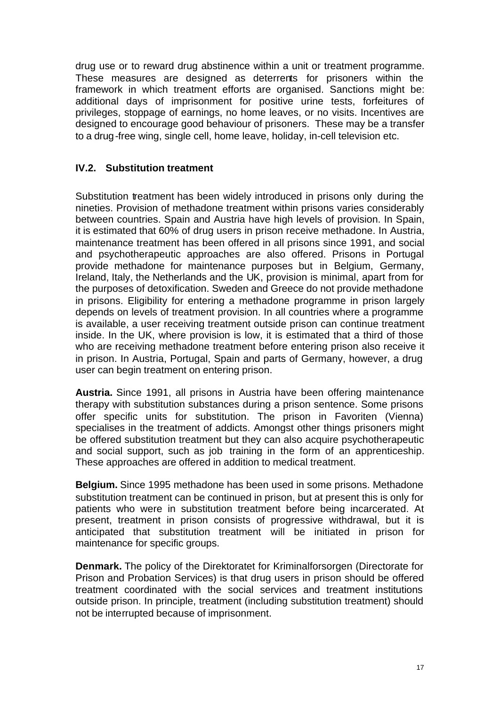drug use or to reward drug abstinence within a unit or treatment programme. These measures are designed as deterrents for prisoners within the framework in which treatment efforts are organised. Sanctions might be: additional days of imprisonment for positive urine tests, forfeitures of privileges, stoppage of earnings, no home leaves, or no visits. Incentives are designed to encourage good behaviour of prisoners. These may be a transfer to a drug-free wing, single cell, home leave, holiday, in-cell television etc.

# **IV.2. Substitution treatment**

Substitution treatment has been widely introduced in prisons only during the nineties. Provision of methadone treatment within prisons varies considerably between countries. Spain and Austria have high levels of provision. In Spain, it is estimated that 60% of drug users in prison receive methadone. In Austria, maintenance treatment has been offered in all prisons since 1991, and social and psychotherapeutic approaches are also offered. Prisons in Portugal provide methadone for maintenance purposes but in Belgium, Germany, Ireland, Italy, the Netherlands and the UK, provision is minimal, apart from for the purposes of detoxification. Sweden and Greece do not provide methadone in prisons. Eligibility for entering a methadone programme in prison largely depends on levels of treatment provision. In all countries where a programme is available, a user receiving treatment outside prison can continue treatment inside. In the UK, where provision is low, it is estimated that a third of those who are receiving methadone treatment before entering prison also receive it in prison. In Austria, Portugal, Spain and parts of Germany, however, a drug user can begin treatment on entering prison.

**Austria.** Since 1991, all prisons in Austria have been offering maintenance therapy with substitution substances during a prison sentence. Some prisons offer specific units for substitution. The prison in Favoriten (Vienna) specialises in the treatment of addicts. Amongst other things prisoners might be offered substitution treatment but they can also acquire psychotherapeutic and social support, such as job training in the form of an apprenticeship. These approaches are offered in addition to medical treatment.

**Belgium.** Since 1995 methadone has been used in some prisons. Methadone substitution treatment can be continued in prison, but at present this is only for patients who were in substitution treatment before being incarcerated. At present, treatment in prison consists of progressive withdrawal, but it is anticipated that substitution treatment will be initiated in prison for maintenance for specific groups.

**Denmark.** The policy of the Direktoratet for Kriminalforsorgen (Directorate for Prison and Probation Services) is that drug users in prison should be offered treatment coordinated with the social services and treatment institutions outside prison. In principle, treatment (including substitution treatment) should not be interrupted because of imprisonment.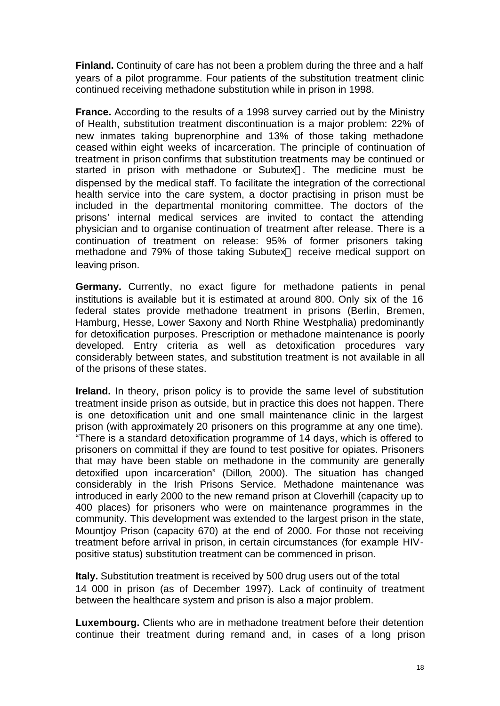**Finland.** Continuity of care has not been a problem during the three and a half years of a pilot programme. Four patients of the substitution treatment clinic continued receiving methadone substitution while in prison in 1998.

**France.** According to the results of a 1998 survey carried out by the Ministry of Health, substitution treatment discontinuation is a major problem: 22% of new inmates taking buprenorphine and 13% of those taking methadone ceased within eight weeks of incarceration. The principle of continuation of treatment in prison confirms that substitution treatments may be continued or started in prison with methadone or Subutex®. The medicine must be dispensed by the medical staff. To facilitate the integration of the correctional health service into the care system, a doctor practising in prison must be included in the departmental monitoring committee. The doctors of the prisons' internal medical services are invited to contact the attending physician and to organise continuation of treatment after release. There is a continuation of treatment on release: 95% of former prisoners taking methadone and 79% of those taking Subutex® receive medical support on leaving prison.

**Germany.** Currently, no exact figure for methadone patients in penal institutions is available but it is estimated at around 800. Only six of the 16 federal states provide methadone treatment in prisons (Berlin, Bremen, Hamburg, Hesse, Lower Saxony and North Rhine Westphalia) predominantly for detoxification purposes. Prescription or methadone maintenance is poorly developed. Entry criteria as well as detoxification procedures vary considerably between states, and substitution treatment is not available in all of the prisons of these states.

**Ireland.** In theory, prison policy is to provide the same level of substitution treatment inside prison as outside, but in practice this does not happen. There is one detoxification unit and one small maintenance clinic in the largest prison (with approximately 20 prisoners on this programme at any one time). "There is a standard detoxification programme of 14 days, which is offered to prisoners on committal if they are found to test positive for opiates. Prisoners that may have been stable on methadone in the community are generally detoxified upon incarceration" (Dillon, 2000). The situation has changed considerably in the Irish Prisons Service. Methadone maintenance was introduced in early 2000 to the new remand prison at Cloverhill (capacity up to 400 places) for prisoners who were on maintenance programmes in the community. This development was extended to the largest prison in the state, Mountjoy Prison (capacity 670) at the end of 2000. For those not receiving treatment before arrival in prison, in certain circumstances (for example HIVpositive status) substitution treatment can be commenced in prison.

**Italy.** Substitution treatment is received by 500 drug users out of the total 14 000 in prison (as of December 1997). Lack of continuity of treatment between the healthcare system and prison is also a major problem.

**Luxembourg.** Clients who are in methadone treatment before their detention continue their treatment during remand and, in cases of a long prison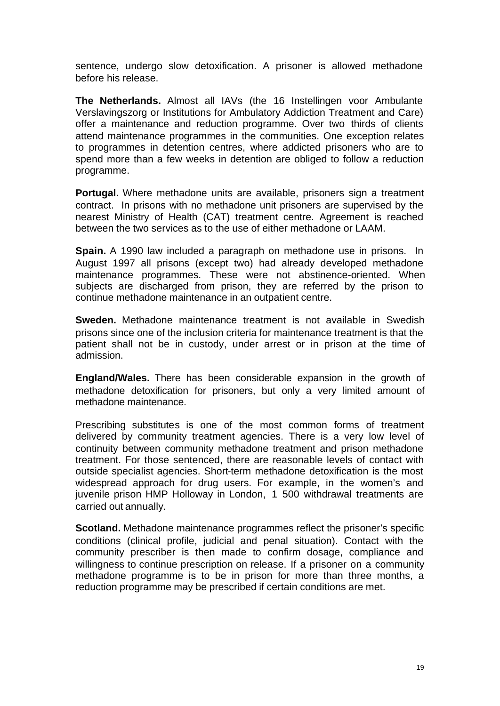sentence, undergo slow detoxification. A prisoner is allowed methadone before his release.

**The Netherlands.** Almost all IAVs (the 16 Instellingen voor Ambulante Verslavingszorg or Institutions for Ambulatory Addiction Treatment and Care) offer a maintenance and reduction programme. Over two thirds of clients attend maintenance programmes in the communities. One exception relates to programmes in detention centres, where addicted prisoners who are to spend more than a few weeks in detention are obliged to follow a reduction programme.

**Portugal.** Where methadone units are available, prisoners sign a treatment contract. In prisons with no methadone unit prisoners are supervised by the nearest Ministry of Health (CAT) treatment centre. Agreement is reached between the two services as to the use of either methadone or LAAM.

**Spain.** A 1990 law included a paragraph on methadone use in prisons. In August 1997 all prisons (except two) had already developed methadone maintenance programmes. These were not abstinence-oriented. When subjects are discharged from prison, they are referred by the prison to continue methadone maintenance in an outpatient centre.

**Sweden.** Methadone maintenance treatment is not available in Swedish prisons since one of the inclusion criteria for maintenance treatment is that the patient shall not be in custody, under arrest or in prison at the time of admission.

**England/Wales.** There has been considerable expansion in the growth of methadone detoxification for prisoners, but only a very limited amount of methadone maintenance.

Prescribing substitutes is one of the most common forms of treatment delivered by community treatment agencies. There is a very low level of continuity between community methadone treatment and prison methadone treatment. For those sentenced, there are reasonable levels of contact with outside specialist agencies. Short-term methadone detoxification is the most widespread approach for drug users. For example, in the women's and juvenile prison HMP Holloway in London, 1 500 withdrawal treatments are carried out annually.

**Scotland.** Methadone maintenance programmes reflect the prisoner's specific conditions (clinical profile, judicial and penal situation). Contact with the community prescriber is then made to confirm dosage, compliance and willingness to continue prescription on release. If a prisoner on a community methadone programme is to be in prison for more than three months, a reduction programme may be prescribed if certain conditions are met.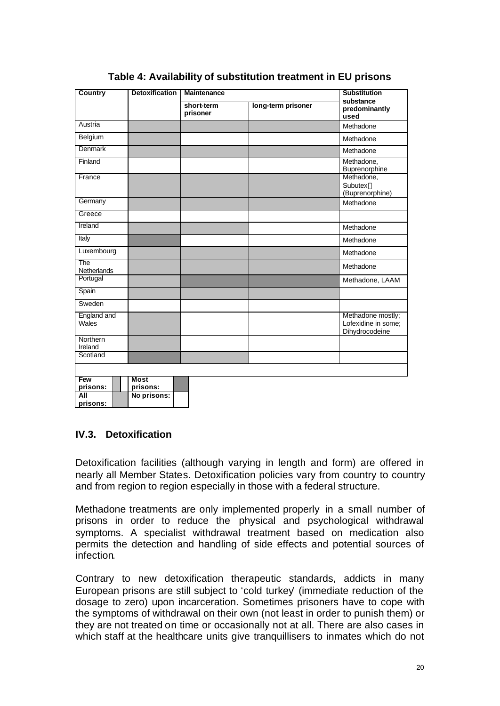| Country              | <b>Detoxification</b>   | <b>Maintenance</b>     | <b>Substitution</b> |                                                            |  |
|----------------------|-------------------------|------------------------|---------------------|------------------------------------------------------------|--|
|                      |                         | short-term<br>prisoner | long-term prisoner  | substance<br>predominantly<br>used                         |  |
| Austria              |                         |                        |                     | Methadone                                                  |  |
| Belgium              |                         |                        |                     | Methadone                                                  |  |
| <b>Denmark</b>       |                         |                        |                     | Methadone                                                  |  |
| Finland              |                         |                        |                     | Methadone,<br>Buprenorphine                                |  |
| France               |                         |                        |                     | Methadone,<br>Subutex <sup>®</sup><br>(Buprenorphine)      |  |
| Germany              |                         |                        |                     | Methadone                                                  |  |
| Greece               |                         |                        |                     |                                                            |  |
| Ireland              |                         |                        |                     | Methadone                                                  |  |
| Italy                |                         |                        |                     | Methadone                                                  |  |
| Luxembourg           |                         |                        |                     | Methadone                                                  |  |
| The<br>Netherlands   |                         |                        |                     | Methadone                                                  |  |
| Portugal             |                         |                        |                     | Methadone, LAAM                                            |  |
| Spain                |                         |                        |                     |                                                            |  |
| Sweden               |                         |                        |                     |                                                            |  |
| England and<br>Wales |                         |                        |                     | Methadone mostly;<br>Lofexidine in some;<br>Dihydrocodeine |  |
| Northern<br>Ireland  |                         |                        |                     |                                                            |  |
| Scotland             |                         |                        |                     |                                                            |  |
|                      |                         |                        |                     |                                                            |  |
| Few<br>prisons:      | <b>Most</b><br>prisons: |                        |                     |                                                            |  |
| All<br>prisons:      | No prisons:             |                        |                     |                                                            |  |

# **Table 4: Availability of substitution treatment in EU prisons**

## **IV.3. Detoxification**

Detoxification facilities (although varying in length and form) are offered in nearly all Member States. Detoxification policies vary from country to country and from region to region especially in those with a federal structure.

Methadone treatments are only implemented properly in a small number of prisons in order to reduce the physical and psychological withdrawal symptoms. A specialist withdrawal treatment based on medication also permits the detection and handling of side effects and potential sources of infection.

Contrary to new detoxification therapeutic standards, addicts in many European prisons are still subject to 'cold turkey' (immediate reduction of the dosage to zero) upon incarceration. Sometimes prisoners have to cope with the symptoms of withdrawal on their own (not least in order to punish them) or they are not treated on time or occasionally not at all. There are also cases in which staff at the healthcare units give tranquillisers to inmates which do not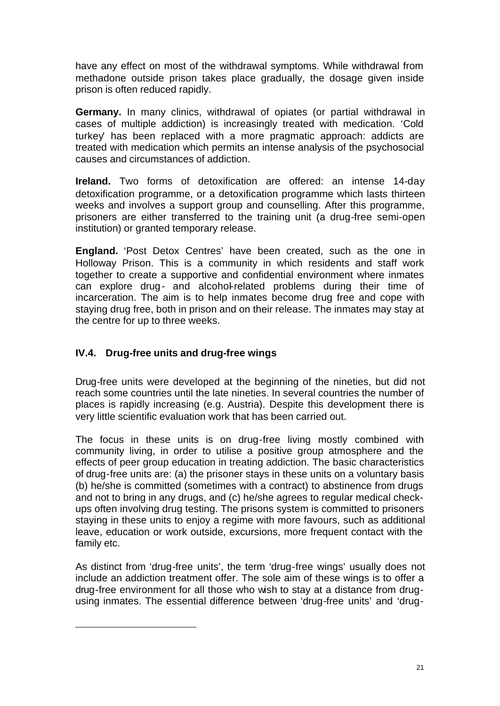have any effect on most of the withdrawal symptoms. While withdrawal from methadone outside prison takes place gradually, the dosage given inside prison is often reduced rapidly.

**Germany.** In many clinics, withdrawal of opiates (or partial withdrawal in cases of multiple addiction) is increasingly treated with medication. 'Cold turkey' has been replaced with a more pragmatic approach: addicts are treated with medication which permits an intense analysis of the psychosocial causes and circumstances of addiction.

**Ireland.** Two forms of detoxification are offered: an intense 14-day detoxification programme, or a detoxification programme which lasts thirteen weeks and involves a support group and counselling. After this programme, prisoners are either transferred to the training unit (a drug-free semi-open institution) or granted temporary release.

**England.** 'Post Detox Centres' have been created, such as the one in Holloway Prison. This is a community in which residents and staff work together to create a supportive and confidential environment where inmates can explore drug- and alcohol-related problems during their time of incarceration. The aim is to help inmates become drug free and cope with staying drug free, both in prison and on their release. The inmates may stay at the centre for up to three weeks.

# **IV.4. Drug-free units and drug-free wings**

l

Drug-free units were developed at the beginning of the nineties, but did not reach some countries until the late nineties. In several countries the number of places is rapidly increasing (e.g. Austria). Despite this development there is very little scientific evaluation work that has been carried out.

The focus in these units is on drug-free living mostly combined with community living, in order to utilise a positive group atmosphere and the effects of peer group education in treating addiction. The basic characteristics of drug-free units are: (a) the prisoner stays in these units on a voluntary basis (b) he/she is committed (sometimes with a contract) to abstinence from drugs and not to bring in any drugs, and (c) he/she agrees to regular medical checkups often involving drug testing. The prisons system is committed to prisoners staying in these units to enjoy a regime with more favours, such as additional leave, education or work outside, excursions, more frequent contact with the family etc.

As distinct from 'drug-free units', the term 'drug-free wings' usually does not include an addiction treatment offer. The sole aim of these wings is to offer a drug-free environment for all those who wish to stay at a distance from drugusing inmates. The essential difference between 'drug-free units' and 'drug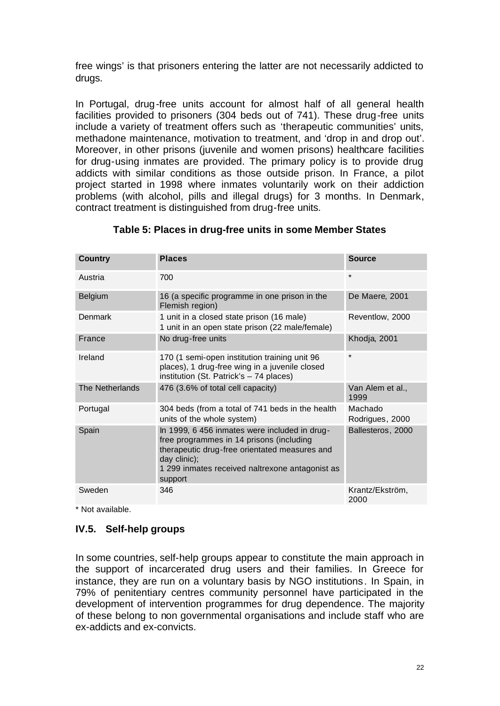free wings' is that prisoners entering the latter are not necessarily addicted to drugs.

In Portugal, drug-free units account for almost half of all general health facilities provided to prisoners (304 beds out of 741). These drug-free units include a variety of treatment offers such as 'therapeutic communities' units, methadone maintenance, motivation to treatment, and 'drop in and drop out'. Moreover, in other prisons (juvenile and women prisons) healthcare facilities for drug-using inmates are provided. The primary policy is to provide drug addicts with similar conditions as those outside prison. In France, a pilot project started in 1998 where inmates voluntarily work on their addiction problems (with alcohol, pills and illegal drugs) for 3 months. In Denmark, contract treatment is distinguished from drug-free units.

| <b>Country</b>  | <b>Places</b>                                                                                                                                                                                                            | <b>Source</b>              |
|-----------------|--------------------------------------------------------------------------------------------------------------------------------------------------------------------------------------------------------------------------|----------------------------|
| Austria         | 700                                                                                                                                                                                                                      | $\star$                    |
| <b>Belgium</b>  | 16 (a specific programme in one prison in the<br>Flemish region)                                                                                                                                                         | De Maere, 2001             |
| Denmark         | 1 unit in a closed state prison (16 male)<br>1 unit in an open state prison (22 male/female)                                                                                                                             | Reventlow, 2000            |
| France          | No drug-free units                                                                                                                                                                                                       | Khodja, 2001               |
| Ireland         | 170 (1 semi-open institution training unit 96<br>places), 1 drug-free wing in a juvenile closed<br>institution (St. Patrick's - 74 places)                                                                               | $\star$                    |
| The Netherlands | 476 (3.6% of total cell capacity)                                                                                                                                                                                        | Van Alem et al.,<br>1999   |
| Portugal        | 304 beds (from a total of 741 beds in the health<br>units of the whole system)                                                                                                                                           | Machado<br>Rodrigues, 2000 |
| Spain           | In 1999, 6 456 inmates were included in drug-<br>free programmes in 14 prisons (including<br>therapeutic drug-free orientated measures and<br>day clinic);<br>1 299 inmates received naltrexone antagonist as<br>support | Ballesteros, 2000          |
| Sweden          | 346                                                                                                                                                                                                                      | Krantz/Ekström,<br>2000    |

#### **Table 5: Places in drug-free units in some Member States**

\* Not available.

#### **IV.5. Self-help groups**

In some countries, self-help groups appear to constitute the main approach in the support of incarcerated drug users and their families. In Greece for instance, they are run on a voluntary basis by NGO institutions. In Spain, in 79% of penitentiary centres community personnel have participated in the development of intervention programmes for drug dependence. The majority of these belong to non governmental organisations and include staff who are ex-addicts and ex-convicts.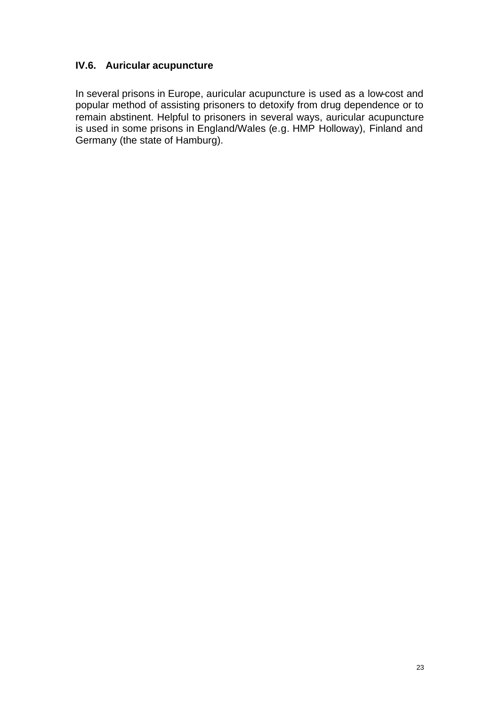# **IV.6. Auricular acupuncture**

In several prisons in Europe, auricular acupuncture is used as a low-cost and popular method of assisting prisoners to detoxify from drug dependence or to remain abstinent. Helpful to prisoners in several ways, auricular acupuncture is used in some prisons in England/Wales (e.g. HMP Holloway), Finland and Germany (the state of Hamburg).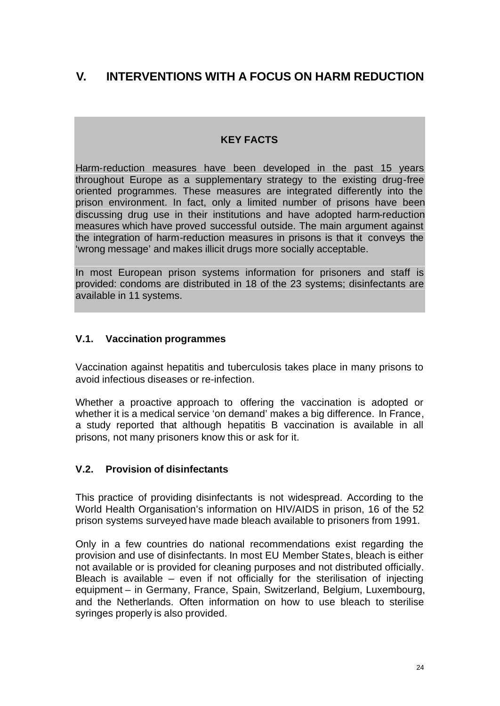# **V. INTERVENTIONS WITH A FOCUS ON HARM REDUCTION**

# **KEY FACTS**

Harm-reduction measures have been developed in the past 15 years throughout Europe as a supplementary strategy to the existing drug-free oriented programmes. These measures are integrated differently into the prison environment. In fact, only a limited number of prisons have been discussing drug use in their institutions and have adopted harm-reduction measures which have proved successful outside. The main argument against the integration of harm-reduction measures in prisons is that it conveys the 'wrong message' and makes illicit drugs more socially acceptable.

In most European prison systems information for prisoners and staff is provided: condoms are distributed in 18 of the 23 systems; disinfectants are available in 11 systems.

#### **V.1. Vaccination programmes**

Vaccination against hepatitis and tuberculosis takes place in many prisons to avoid infectious diseases or re-infection.

Whether a proactive approach to offering the vaccination is adopted or whether it is a medical service 'on demand' makes a big difference. In France, a study reported that although hepatitis B vaccination is available in all prisons, not many prisoners know this or ask for it.

## **V.2. Provision of disinfectants**

This practice of providing disinfectants is not widespread. According to the World Health Organisation's information on HIV/AIDS in prison, 16 of the 52 prison systems surveyed have made bleach available to prisoners from 1991.

Only in a few countries do national recommendations exist regarding the provision and use of disinfectants. In most EU Member States, bleach is either not available or is provided for cleaning purposes and not distributed officially. Bleach is available  $-$  even if not officially for the sterilisation of injecting equipment – in Germany, France, Spain, Switzerland, Belgium, Luxembourg, and the Netherlands. Often information on how to use bleach to sterilise syringes properly is also provided.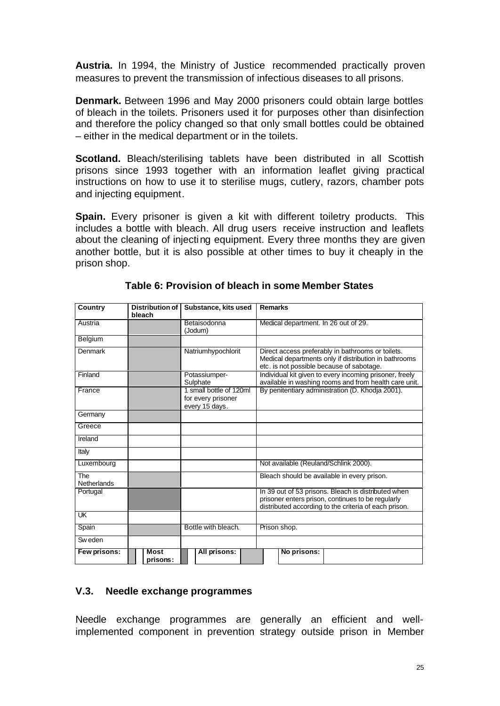**Austria.** In 1994, the Ministry of Justice recommended practically proven measures to prevent the transmission of infectious diseases to all prisons.

**Denmark.** Between 1996 and May 2000 prisoners could obtain large bottles of bleach in the toilets. Prisoners used it for purposes other than disinfection and therefore the policy changed so that only small bottles could be obtained – either in the medical department or in the toilets.

**Scotland.** Bleach/sterilising tablets have been distributed in all Scottish prisons since 1993 together with an information leaflet giving practical instructions on how to use it to sterilise mugs, cutlery, razors, chamber pots and injecting equipment.

**Spain.** Every prisoner is given a kit with different toiletry products. This includes a bottle with bleach. All drug users receive instruction and leaflets about the cleaning of injecting equipment. Every three months they are given another bottle, but it is also possible at other times to buy it cheaply in the prison shop.

| Country                   | Distribution of<br>bleach | Substance, kits used                                            | <b>Remarks</b>                                                                                                                                                    |  |  |
|---------------------------|---------------------------|-----------------------------------------------------------------|-------------------------------------------------------------------------------------------------------------------------------------------------------------------|--|--|
| Austria                   |                           | Betaisodonna<br>(Jodum)                                         | Medical department. In 26 out of 29.                                                                                                                              |  |  |
| Belgium                   |                           |                                                                 |                                                                                                                                                                   |  |  |
| Denmark                   |                           | Natriumhypochlorit                                              | Direct access preferably in bathrooms or toilets.<br>Medical departments only if distribution in bathrooms<br>etc. is not possible because of sabotage.           |  |  |
| Finland                   |                           | Potassiumper-<br>Sulphate                                       | Individual kit given to every incoming prisoner, freely<br>available in washing rooms and from health care unit.                                                  |  |  |
| France                    |                           | 1 small bottle of 120ml<br>for every prisoner<br>every 15 days. | By penitentiary administration (D. Khodja 2001).                                                                                                                  |  |  |
| Germany                   |                           |                                                                 |                                                                                                                                                                   |  |  |
| Greece                    |                           |                                                                 |                                                                                                                                                                   |  |  |
| Ireland                   |                           |                                                                 |                                                                                                                                                                   |  |  |
| Italy                     |                           |                                                                 |                                                                                                                                                                   |  |  |
| Luxembourg                |                           |                                                                 | Not available (Reuland/Schlink 2000).                                                                                                                             |  |  |
| The<br><b>Netherlands</b> |                           |                                                                 | Bleach should be available in every prison.                                                                                                                       |  |  |
| Portugal                  |                           |                                                                 | In 39 out of 53 prisons. Bleach is distributed when<br>prisoner enters prison, continues to be regularly<br>distributed according to the criteria of each prison. |  |  |
| UK                        |                           |                                                                 |                                                                                                                                                                   |  |  |
| Spain                     |                           | Bottle with bleach.                                             | Prison shop.                                                                                                                                                      |  |  |
| Sw eden                   |                           |                                                                 |                                                                                                                                                                   |  |  |
| Few prisons:              | Most<br>prisons:          | All prisons:                                                    | No prisons:                                                                                                                                                       |  |  |

**Table 6: Provision of bleach in some Member States**

## **V.3. Needle exchange programmes**

Needle exchange programmes are generally an efficient and wellimplemented component in prevention strategy outside prison in Member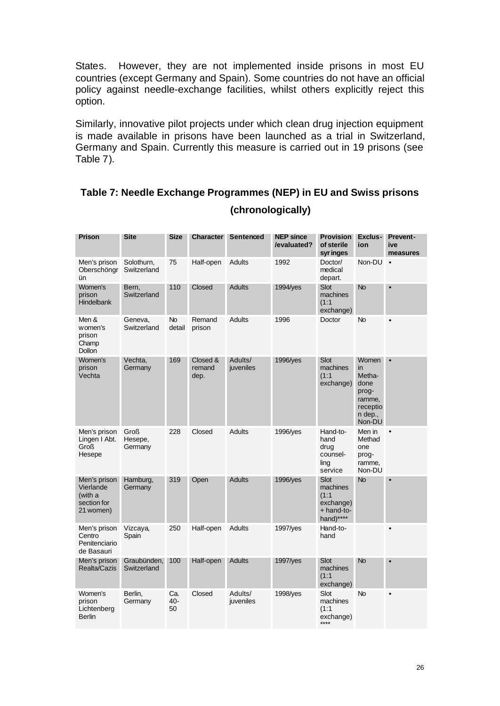States. However, they are not implemented inside prisons in most EU countries (except Germany and Spain). Some countries do not have an official policy against needle-exchange facilities, whilst others explicitly reject this option.

Similarly, innovative pilot projects under which clean drug injection equipment is made available in prisons have been launched as a trial in Switzerland, Germany and Spain. Currently this measure is carried out in 19 prisons (see Table 7).

# **Table 7: Needle Exchange Programmes (NEP) in EU and Swiss prisons (chronologically)**

| <b>Prison</b>                                                    | <b>Site</b>                | <b>Size</b>         | Character                  | Sentenced            | <b>NEP since</b><br>/evaluated?       | <b>Provision</b><br>of sterile<br>syr inges                       | Exclus-<br>ion                                                                    | <b>Prevent-</b><br>ive<br>measures |
|------------------------------------------------------------------|----------------------------|---------------------|----------------------------|----------------------|---------------------------------------|-------------------------------------------------------------------|-----------------------------------------------------------------------------------|------------------------------------|
| Men's prison<br>Oberschöngr<br>ün                                | Solothurn,<br>Switzerland  | 75                  | Half-open                  | Adults               | 1992<br>Doctor/<br>medical<br>depart. |                                                                   | Non-DU                                                                            | $\bullet$                          |
| Women's<br>prison<br><b>Hindelbank</b>                           | Bern,<br>Switzerland       | 110                 | Closed                     | Adults               | 1994/yes                              | <b>Slot</b><br>machines<br>(1:1)<br>exchange)                     | No                                                                                | $\bullet$                          |
| Men &<br>women's<br>prison<br>Champ<br>Dollon                    | Geneva,<br>Switzerland     | <b>No</b><br>detail | Remand<br>prison           | <b>Adults</b>        | 1996                                  | Doctor                                                            | No                                                                                | $\bullet$                          |
| Women's<br>prison<br>Vechta                                      | Vechta,<br>Germany         | 169                 | Closed &<br>remand<br>dep. | Adults/<br>juveniles | 1996/yes                              | Slot<br>machines<br>(1:1)<br>exchange)                            | Women<br>in<br>Metha-<br>done<br>prog-<br>ramme,<br>receptio<br>n dep.,<br>Non-DU | $\bullet$                          |
| Men's prison<br>Lingen I Abt.<br>Groß<br>Hesepe                  | Groß<br>Hesepe,<br>Germany | 228                 | Closed                     | <b>Adults</b>        | 1996/yes                              | Hand-to-<br>hand<br>drug<br>counsel-<br>ling<br>service           | Men in<br>Methad<br>one<br>prog-<br>ramme,<br>Non-DU                              | $\bullet$                          |
| Men's prison<br>Vierlande<br>(with a<br>section for<br>21 women) | Hamburg,<br>Germany        | 319                 | Open                       | <b>Adults</b>        | 1996/yes                              | Slot<br>machines<br>(1:1)<br>exchange)<br>+ hand-to-<br>hand)**** | <b>No</b>                                                                         | $\bullet$                          |
| Men's prison<br>Centro<br>Penitenciario<br>de Basauri            | Vizcaya,<br>Spain          | 250                 | Half-open                  | Adults               | 1997/yes                              | Hand-to-<br>hand                                                  |                                                                                   |                                    |
| Men's prison<br>Realta/Cazis                                     | Graubünden,<br>Switzerland | 100                 | Half-open                  | <b>Adults</b>        | 1997/yes                              | <b>Slot</b><br>machines<br>(1:1)<br>exchange)                     | <b>No</b>                                                                         | $\bullet$                          |
| Women's<br>prison<br>Lichtenberg<br><b>Berlin</b>                | Berlin,<br>Germany         | Ca.<br>40-<br>50    | Closed                     | Adults/<br>juveniles | 1998/yes                              | Slot<br>machines<br>(1:1)<br>exchange)<br>****                    | No                                                                                | $\bullet$                          |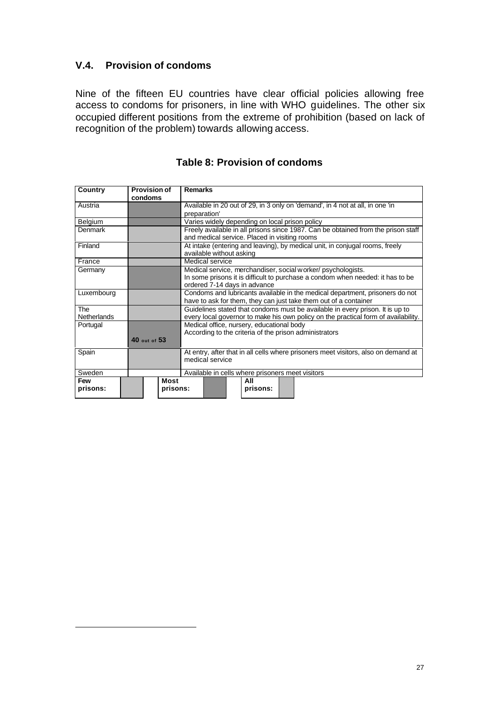## **V.4. Provision of condoms**

l

Nine of the fifteen EU countries have clear official policies allowing free access to condoms for prisoners, in line with WHO guidelines. The other six occupied different positions from the extreme of prohibition (based on lack of recognition of the problem) towards allowing access.

| <b>Country</b>     | <b>Provision of</b><br>condoms |                  | <b>Remarks</b>                                                                                                                                                                |                          |  |                                                  |  |                                                                                   |
|--------------------|--------------------------------|------------------|-------------------------------------------------------------------------------------------------------------------------------------------------------------------------------|--------------------------|--|--------------------------------------------------|--|-----------------------------------------------------------------------------------|
| Austria            |                                |                  | preparation'                                                                                                                                                                  |                          |  |                                                  |  | Available in 20 out of 29, in 3 only on 'demand', in 4 not at all, in one 'in     |
| Belgium            |                                |                  | Varies widely depending on local prison policy                                                                                                                                |                          |  |                                                  |  |                                                                                   |
| Denmark            |                                |                  |                                                                                                                                                                               |                          |  | and medical service. Placed in visiting rooms    |  | Freely available in all prisons since 1987. Can be obtained from the prison staff |
| Finland            |                                |                  |                                                                                                                                                                               | available without asking |  |                                                  |  | At intake (entering and leaving), by medical unit, in conjugal rooms, freely      |
| France             |                                |                  |                                                                                                                                                                               | Medical service          |  |                                                  |  |                                                                                   |
| Germany            |                                |                  | Medical service, merchandiser, social worker/psychologists.<br>In some prisons it is difficult to purchase a condom when needed: it has to be<br>ordered 7-14 days in advance |                          |  |                                                  |  |                                                                                   |
| Luxembourg         |                                |                  | Condoms and lubricants available in the medical department, prisoners do not<br>have to ask for them, they can just take them out of a container                              |                          |  |                                                  |  |                                                                                   |
| The<br>Netherlands |                                |                  | Guidelines stated that condoms must be available in every prison. It is up to<br>every local governor to make his own policy on the practical form of availability.           |                          |  |                                                  |  |                                                                                   |
| Portugal           | 40 out of 53                   |                  | Medical office, nursery, educational body<br>According to the criteria of the prison administrators                                                                           |                          |  |                                                  |  |                                                                                   |
| Spain              |                                |                  | At entry, after that in all cells where prisoners meet visitors, also on demand at<br>medical service                                                                         |                          |  |                                                  |  |                                                                                   |
| Sweden             |                                |                  |                                                                                                                                                                               |                          |  | Available in cells where prisoners meet visitors |  |                                                                                   |
| Few<br>prisons:    |                                | Most<br>prisons: | ΑIΙ<br>prisons:                                                                                                                                                               |                          |  |                                                  |  |                                                                                   |

# **Table 8: Provision of condoms**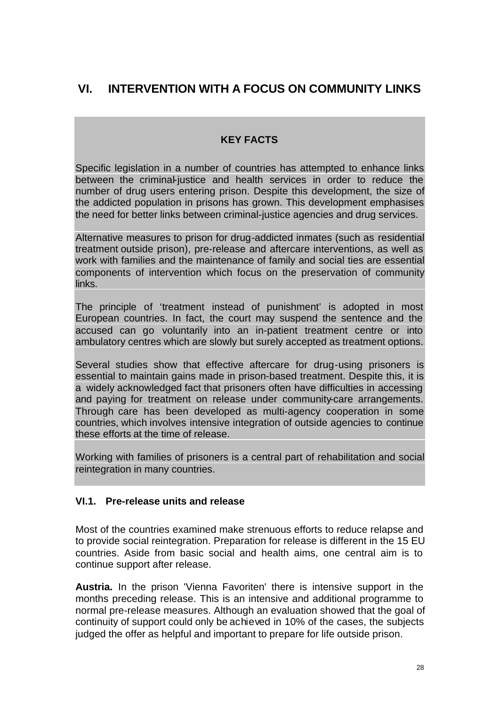# **VI. INTERVENTION WITH A FOCUS ON COMMUNITY LINKS**

# **KEY FACTS**

Specific legislation in a number of countries has attempted to enhance links between the criminal-justice and health services in order to reduce the number of drug users entering prison. Despite this development, the size of the addicted population in prisons has grown. This development emphasises the need for better links between criminal-justice agencies and drug services.

Alternative measures to prison for drug-addicted inmates (such as residential treatment outside prison), pre-release and aftercare interventions, as well as work with families and the maintenance of family and social ties are essential components of intervention which focus on the preservation of community links.

The principle of 'treatment instead of punishment' is adopted in most European countries. In fact, the court may suspend the sentence and the accused can go voluntarily into an in-patient treatment centre or into ambulatory centres which are slowly but surely accepted as treatment options.

Several studies show that effective aftercare for drug-using prisoners is essential to maintain gains made in prison-based treatment. Despite this, it is a widely acknowledged fact that prisoners often have difficulties in accessing and paying for treatment on release under community-care arrangements. Through care has been developed as multi-agency cooperation in some countries, which involves intensive integration of outside agencies to continue these efforts at the time of release.

Working with families of prisoners is a central part of rehabilitation and social reintegration in many countries.

## **VI.1. Pre-release units and release**

Most of the countries examined make strenuous efforts to reduce relapse and to provide social reintegration. Preparation for release is different in the 15 EU countries. Aside from basic social and health aims, one central aim is to continue support after release.

**Austria.** In the prison 'Vienna Favoriten' there is intensive support in the months preceding release. This is an intensive and additional programme to normal pre-release measures. Although an evaluation showed that the goal of continuity of support could only be achieved in 10% of the cases, the subjects judged the offer as helpful and important to prepare for life outside prison.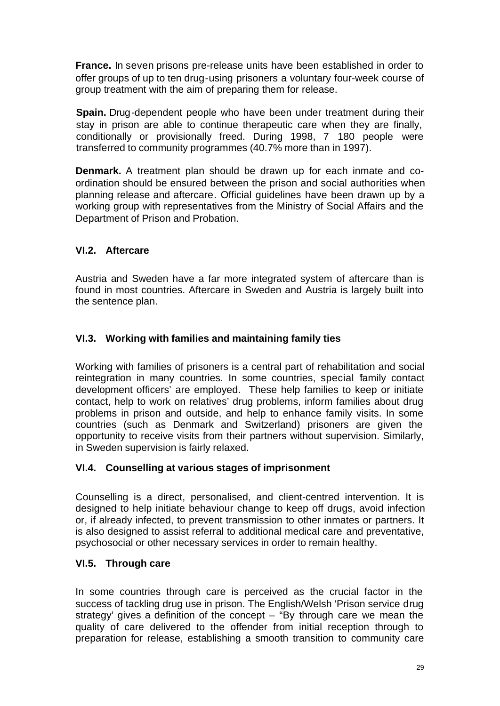**France.** In seven prisons pre-release units have been established in order to offer groups of up to ten drug-using prisoners a voluntary four-week course of group treatment with the aim of preparing them for release.

**Spain.** Drug-dependent people who have been under treatment during their stay in prison are able to continue therapeutic care when they are finally, conditionally or provisionally freed. During 1998, 7 180 people were transferred to community programmes (40.7% more than in 1997).

**Denmark.** A treatment plan should be drawn up for each inmate and coordination should be ensured between the prison and social authorities when planning release and aftercare. Official guidelines have been drawn up by a working group with representatives from the Ministry of Social Affairs and the Department of Prison and Probation.

# **VI.2. Aftercare**

Austria and Sweden have a far more integrated system of aftercare than is found in most countries. Aftercare in Sweden and Austria is largely built into the sentence plan.

## **VI.3. Working with families and maintaining family ties**

Working with families of prisoners is a central part of rehabilitation and social reintegration in many countries. In some countries, special 'family contact development officers' are employed. These help families to keep or initiate contact, help to work on relatives' drug problems, inform families about drug problems in prison and outside, and help to enhance family visits. In some countries (such as Denmark and Switzerland) prisoners are given the opportunity to receive visits from their partners without supervision. Similarly, in Sweden supervision is fairly relaxed.

## **VI.4. Counselling at various stages of imprisonment**

Counselling is a direct, personalised, and client-centred intervention. It is designed to help initiate behaviour change to keep off drugs, avoid infection or, if already infected, to prevent transmission to other inmates or partners. It is also designed to assist referral to additional medical care and preventative, psychosocial or other necessary services in order to remain healthy.

## **VI.5. Through care**

In some countries through care is perceived as the crucial factor in the success of tackling drug use in prison. The English/Welsh 'Prison service drug strategy' gives a definition of the concept – "By through care we mean the quality of care delivered to the offender from initial reception through to preparation for release, establishing a smooth transition to community care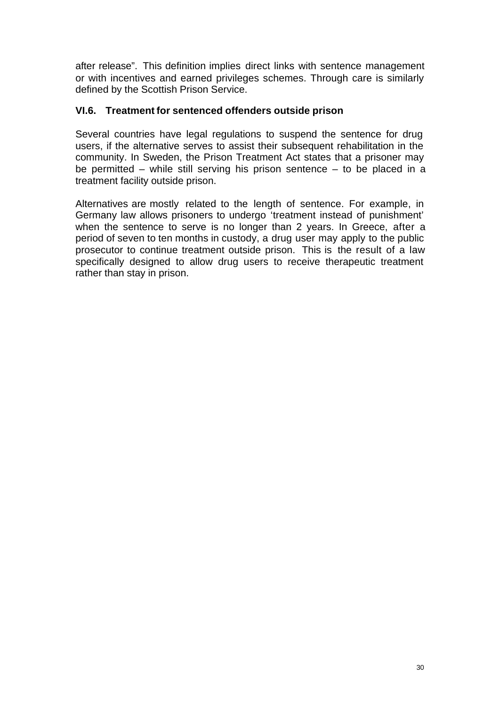after release". This definition implies direct links with sentence management or with incentives and earned privileges schemes. Through care is similarly defined by the Scottish Prison Service.

#### **VI.6. Treatment for sentenced offenders outside prison**

Several countries have legal regulations to suspend the sentence for drug users, if the alternative serves to assist their subsequent rehabilitation in the community. In Sweden, the Prison Treatment Act states that a prisoner may be permitted – while still serving his prison sentence – to be placed in a treatment facility outside prison.

Alternatives are mostly related to the length of sentence. For example, in Germany law allows prisoners to undergo 'treatment instead of punishment' when the sentence to serve is no longer than 2 years. In Greece, after a period of seven to ten months in custody, a drug user may apply to the public prosecutor to continue treatment outside prison. This is the result of a law specifically designed to allow drug users to receive therapeutic treatment rather than stay in prison.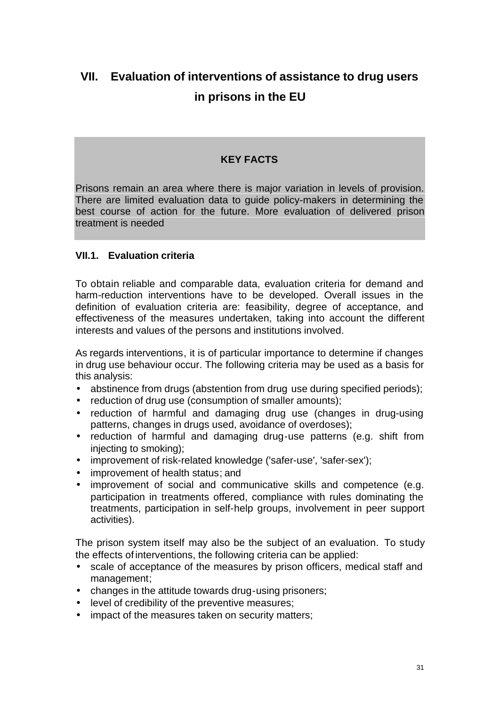# **VII. Evaluation of interventions of assistance to drug users in prisons in the EU**

### **KEY FACTS**

Prisons remain an area where there is major variation in levels of provision. There are limited evaluation data to guide policy-makers in determining the best course of action for the future. More evaluation of delivered prison treatment is needed

#### **VII.1. Evaluation criteria**

To obtain reliable and comparable data, evaluation criteria for demand and harm-reduction interventions have to be developed. Overall issues in the definition of evaluation criteria are: feasibility, degree of acceptance, and effectiveness of the measures undertaken, taking into account the different interests and values of the persons and institutions involved.

As regards interventions, it is of particular importance to determine if changes in drug use behaviour occur. The following criteria may be used as a basis for this analysis:

- abstinence from drugs (abstention from drug use during specified periods);
- reduction of drug use (consumption of smaller amounts);
- reduction of harmful and damaging drug use (changes in drug-using patterns, changes in drugs used, avoidance of overdoses);
- reduction of harmful and damaging drug-use patterns (e.g. shift from injecting to smoking);
- improvement of risk-related knowledge ('safer-use', 'safer-sex');
- improvement of health status; and
- improvement of social and communicative skills and competence (e.g. participation in treatments offered, compliance with rules dominating the treatments, participation in self-help groups, involvement in peer support activities).

The prison system itself may also be the subject of an evaluation. To study the effects ofinterventions, the following criteria can be applied:

- scale of acceptance of the measures by prison officers, medical staff and management;
- changes in the attitude towards drug-using prisoners;
- level of credibility of the preventive measures;
- impact of the measures taken on security matters;